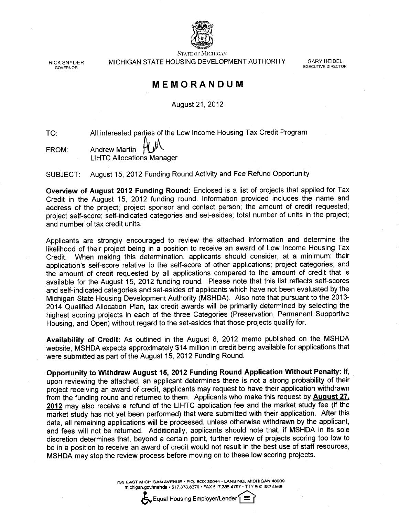

**RICK SNYDER** GOVERNOR

FROM:

MICHIGAN STATE HOUSING DEVELOPMENT AUTHORITY

**GARY HEIDEL EXECUTIVE DIRECTOR** 

# MEMORANDUM

August 21, 2012

All interested parties of the Low Income Housing Tax Credit Program TO:

**Andrew Martin LIHTC Allocations Manager** 

August 15, 2012 Funding Round Activity and Fee Refund Opportunity SUBJECT:

Overview of August 2012 Funding Round: Enclosed is a list of projects that applied for Tax Credit in the August 15, 2012 funding round. Information provided includes the name and address of the project; project sponsor and contact person; the amount of credit requested; project self-score; self-indicated categories and set-asides; total number of units in the project; and number of tax credit units.

Applicants are strongly encouraged to review the attached information and determine the likelihood of their project being in a position to receive an award of Low Income Housing Tax Credit. When making this determination, applicants should consider, at a minimum: their application's self-score relative to the self-score of other applications; project categories; and the amount of credit requested by all applications compared to the amount of credit that is available for the August 15, 2012 funding round. Please note that this list reflects self-scores and self-indicated categories and set-asides of applicants which have not been evaluated by the Michigan State Housing Development Authority (MSHDA). Also note that pursuant to the 2013-2014 Qualified Allocation Plan, tax credit awards will be primarily determined by selecting the highest scoring projects in each of the three Categories (Preservation, Permanent Supportive Housing, and Open) without regard to the set-asides that those projects qualify for.

Availability of Credit: As outlined in the August 8, 2012 memo published on the MSHDA website, MSHDA expects approximately \$14 million in credit being available for applications that were submitted as part of the August 15, 2012 Funding Round.

Opportunity to Withdraw August 15, 2012 Funding Round Application Without Penalty: If. upon reviewing the attached, an applicant determines there is not a strong probability of their project receiving an award of credit, applicants may request to have their application withdrawn from the funding round and returned to them. Applicants who make this request by **August 27.** 2012 may also receive a refund of the LIHTC application fee and the market study fee (if the market study has not yet been performed) that were submitted with their application. After this date, all remaining applications will be processed, unless otherwise withdrawn by the applicant, and fees will not be returned. Additionally, applicants should note that, if MSHDA in its sole discretion determines that, beyond a certain point, further review of projects scoring too low to be in a position to receive an award of credit would not result in the best use of staff resources, MSHDA may stop the review process before moving on to these low scoring projects.

> 735 EAST MICHIGAN AVENUE · P.O. BOX 30044 · LANSING, MICHIGAN 48909 michigan.gov/mshda · 517.373.8370 · FAX 517.335.4797 · TTY 800.382.4568

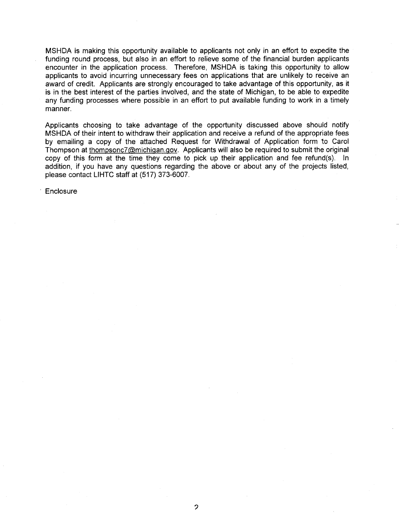MSHDA is making this opportunity available to applicants not only in an effort to expedite the funding round process, but also in an effort to relieve some of the financial burden applicants encounter in the application process. Therefore, MSHDA is taking this opportunity to allow applicants to avoid incurring unnecessary fees on applications that are unlikely to receive an award of credit. Applicants are strongly encouraged to take advantage of this opportunity, as it is in the best interest of the parties involved, and the state of Michigan, to be able to expedite any funding processes where possible in an effort to put available funding to work in a timely manner.

Applicants choosing to take advantage of the opportunity discussed above should notify MSHDA of their intent to withdraw their application and receive a refund of the appropriate fees by emailing a copy of the attached Request for Withdrawal of Application form to Carol Thompson at thompsonc7@michigan.gov. Applicants will also be required to submit the original copy of this form at the time they come to pick up their application and fee refund(s). In addition, if you have any questions regarding the above or about any of the projects listed, please contact LIHTC staff at (517) 373-6007.

Enclosure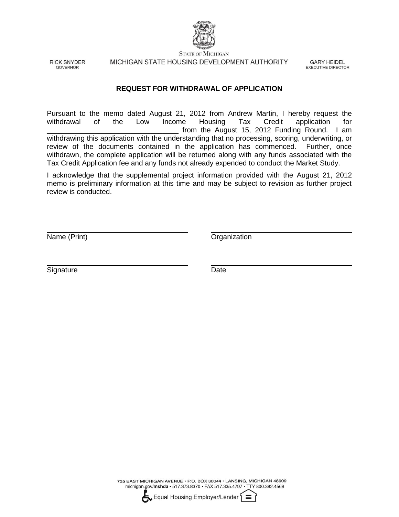

**RICK SNYDER GOVERNOR** 

MICHIGAN STATE HOUSING DEVELOPMENT AUTHORITY

**GARY HEIDEL EXECUTIVE DIRECTOR** 

#### **REQUEST FOR WITHDRAWAL OF APPLICATION**

Pursuant to the memo dated August 21, 2012 from Andrew Martin, I hereby request the withdrawal of the Low Income Housing Tax Credit application for from the August 15, 2012 Funding Round. I am withdrawing this application with the understanding that no processing, scoring, underwriting, or review of the documents contained in the application has commenced. Further, once withdrawn, the complete application will be returned along with any funds associated with the Tax Credit Application fee and any funds not already expended to conduct the Market Study.

I acknowledge that the supplemental project information provided with the August 21, 2012 memo is preliminary information at this time and may be subject to revision as further project review is conducted.

Name (Print) **Organization** 

Signature Date

735 EAST MICHIGAN AVENUE · P.O. BOX 30044 · LANSING, MICHIGAN 48909 michigan.gov/mshda · 517.373.8370 · FAX 517.335.4797 · TTY 800.382.4568

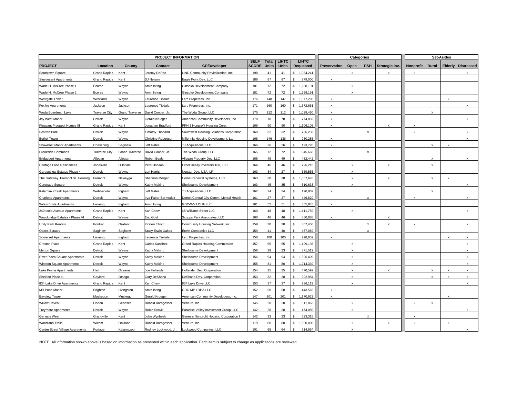|                                  |                      |                       | <b>PROJECT INFORMATION</b> |                                          |                             |                       |                              |                               | Categories                |                           |                           | <b>Set-Asides</b>         |                           |              |                           |                           |
|----------------------------------|----------------------|-----------------------|----------------------------|------------------------------------------|-----------------------------|-----------------------|------------------------------|-------------------------------|---------------------------|---------------------------|---------------------------|---------------------------|---------------------------|--------------|---------------------------|---------------------------|
| <b>PROJECT</b>                   | Location             | County                | Contact                    | <b>GP/Developer</b>                      | <b>SELF</b><br><b>SCORE</b> | <b>Total</b><br>Units | <b>LIHTC</b><br><b>Units</b> | <b>LIHTC</b><br>Requested     | Preservation              | Open                      | <b>PSH</b>                | Strategic Inv.            | Nonprofit                 | Rural        | Elderly                   | <b>Distressed</b>         |
| Southtown Square                 | <b>Grand Rapids</b>  | Kent                  | Jeremy DeRoo               | LINC Community Revitalization, Inc.      | 198                         | 41                    | 41                           | \$ 1,054,241                  |                           | $\boldsymbol{\mathsf{x}}$ |                           | X                         |                           |              |                           |                           |
| <b>Stuyvesant Apartments</b>     | <b>Grand Rapids</b>  | Kent                  | DJ Nelson                  | Eagle Point Dev. LLC                     | 186                         | 87                    | 87                           | 779,000<br>\$.                | $\mathsf X$               |                           |                           |                           |                           |              |                           |                           |
| Wade H. McCree Phase 1           | Ecorse               | Wayne                 | Amin Irving                | Ginsoko Development Company              | 181                         | 72                    | 72                           | \$<br>1,258,191               |                           | X                         |                           |                           |                           |              |                           |                           |
| Wade H. McCree Phase 2           | Ecorse               | Wayne                 | Amin Irving                | Ginsoko Development Company              | 181                         | 72                    | 72                           | \$<br>1,258,191               |                           | $\boldsymbol{\mathsf{x}}$ |                           |                           |                           |              |                           |                           |
| <b>Westgate Tower</b>            | Westland             | Wayne                 | aurence Tisdale            | Larc Properties, Inc                     | 176                         | 148                   | 147                          | \$<br>1,077,290               | $\boldsymbol{\mathsf{x}}$ |                           |                           |                           |                           |              |                           |                           |
| <b>Foxfire Apartments</b>        | Jackson              | Jackson               | aurence Tisdale            | Larc Properties, Inc                     | 171                         | 160                   | 160                          | \$<br>1,372,651               | $\mathsf{x}$              |                           |                           |                           |                           |              |                           |                           |
| Woda Boardman Lake               | <b>Traverse City</b> | <b>Grand Traverse</b> | David Cooper, Jr.          | The Woda Group, LLC                      | 170                         | 112                   | 112                          | 1,029,460<br>\$               | $\times$                  |                           |                           |                           |                           | $\mathbf{x}$ |                           |                           |
| Joy West Manor                   | Detroit              | Wayne                 | Gerald Krueger             | American Community Developers, Inc.      | 170                         | 78                    | 78                           | 774,059                       | X                         |                           |                           |                           |                           |              |                           |                           |
| Pleasant Prospect Homes III      | <b>Grand Rapids</b>  | Kent                  | Jonathan Bradford          | PPH 3 Nonprofit Housing Corp             | 169                         | 90                    | 90                           | s.<br>1,106,108               | $\boldsymbol{\mathsf{x}}$ |                           |                           | $\boldsymbol{\mathsf{x}}$ | $\mathbf{x}$              |              |                           |                           |
| Scotten Park                     | Detroit              | Wayne                 | <b>Timothy Thorland</b>    | Southwest Housing Solutions Corporation  | 169                         | 32                    | 32                           | 736,233                       |                           |                           | $\boldsymbol{\mathsf{x}}$ |                           | $\boldsymbol{\mathsf{x}}$ |              |                           | $\mathbf{x}$              |
| <b>Bethel Tower</b>              | Detroit              | Wayne                 | Christine Robertson        | Millennia Housing Development, Ltd.      | 168                         | 146                   | 136                          | 930,285<br>$\mathbf{s}$       | $\boldsymbol{\mathsf{X}}$ |                           |                           |                           |                           |              |                           | $\mathsf{x}$              |
| Showboat Manor Apartments        | Chesaning            | Saginaw               | Jeff Gates                 | TJ Acquisitions, LLC                     | 166                         | 26                    | 26                           | 193,795                       | X                         |                           |                           |                           |                           | $\mathbf{x}$ | X                         |                           |
| <b>Brookside Commons</b>         | <b>Traverse City</b> | <b>Grand Traverse</b> | David Cooper, Jr.          | The Woda Group, LLC                      | 165                         | 72                    | 72                           | 945,666                       |                           |                           | $\boldsymbol{\mathsf{x}}$ |                           |                           |              |                           |                           |
| <b>Bridgeport Apartments</b>     | Allegan              | Allegan               | Robert Beale               | Allegan Property Dev. LLC                | 165                         | 49                    | 49                           | 432,442                       | X                         |                           |                           |                           |                           | $\times$     |                           |                           |
| Heritage Lane Residences         | Jonesville           | Hillsdale             | Peter Jobson               | Excel Realty Investors 100, LLC          | 164                         | 46                    | 46                           | 726,216<br>\$                 |                           | X                         |                           | $\boldsymbol{\mathsf{x}}$ |                           | X            |                           |                           |
| Gardenview Estates Phase 4       | Detroit              | Wayne                 | Lori Harris                | Norstar Dev. USA, LP                     | 163                         | 34                    | 27                           | \$<br>669,555                 |                           | X                         |                           |                           |                           |              |                           |                           |
| The Gateway, Fremont Sr. Housing | Fremont              | Newaygo               | Shannon Morgan             | Home Renewal Systems, LLC                | 163                         | 38                    | 38                           | \$<br>1,067,678               |                           | $\boldsymbol{\mathsf{x}}$ |                           | $\mathsf{x}$              |                           | $\mathbf{x}$ |                           |                           |
| Coronado Square                  | Detroit              | Wayne                 | Kathy Makino               | Shelbourne Development                   | 163                         | 45                    | 35                           | 510,633                       |                           |                           |                           |                           |                           |              |                           |                           |
| Kalamink Creek Apartments        | Webberville          | Ingham                | Jeff Gates                 | TJ Acquisitions, LLC                     | 162                         | 24                    | 24                           | 190,862                       | $\mathsf{x}$              |                           |                           |                           |                           |              |                           |                           |
| <b>Charlotte Apartments</b>      | Detroit              | Wayne                 | Irva Faber-Bermudez        | Detroit Central City Comm. Mental Health | 161                         | 27                    | 27                           | 446.820                       |                           |                           | $\boldsymbol{\mathsf{x}}$ |                           |                           |              |                           |                           |
| <b>Willow Vista Apartments</b>   | Lansing              | Ingham                | Amin Irving                | GDC-WV LDHA LLC                          | 161                         | 52                    | 51                           | 355,845                       | $\mathsf{x}$              |                           |                           |                           |                           |              |                           |                           |
| 240 Ionia Avenue Apartments      | <b>Grand Rapids</b>  | Kent                  | Karl Chew                  | 48 Williams Street LLC                   | 160                         | 48                    | 48                           | S.<br>1,411,759               |                           | X                         |                           |                           |                           |              |                           |                           |
| Woodbridge Estates - Phase VI    | Detroit              | Wayne                 | <b>Eric Gold</b>           | Scripps Park Associates, LLC             | 160                         | 46                    | 46                           | \$<br>860.688                 | $\boldsymbol{\mathsf{X}}$ |                           |                           | $\boldsymbol{\mathsf{x}}$ |                           |              |                           |                           |
| Unity Park Rentals               | Pontiac              | Oakland               | Kirsten Elliott            | Community Housing Network, Inc.          | 159                         | 30                    | 30                           | $\mathfrak{L}$<br>807,458     |                           |                           | $\overline{\mathsf{x}}$   | $\boldsymbol{\mathsf{X}}$ | X                         |              |                           | $\boldsymbol{\mathsf{x}}$ |
| Oakes Estates                    | Saginaw              | Saginaw               | <b>Stacy Erwin Oakes</b>   | Erwin Companies LLC                      | 159                         | 41                    | 40                           | 467,059                       |                           |                           | $\boldsymbol{\mathsf{x}}$ |                           |                           |              |                           |                           |
| Somerset Apartments              | Lansing              | Ingham                | Laurence Tisdale           | Larc Properties, Inc.                    | 158                         | 100                   | 100                          | \$.<br>798,652                | $\boldsymbol{\mathsf{x}}$ |                           |                           |                           |                           |              |                           |                           |
| Creston Plaza                    | <b>Grand Rapids</b>  | Kent                  | Carlos Sanchez             | Grand Rapids Housing Commission          | 157                         | 65                    | 65                           | 1,199,135                     |                           | $\boldsymbol{\mathsf{x}}$ |                           |                           |                           |              |                           |                           |
| <b>Merton Square</b>             | Detroit              | Wayne                 | Kathy Makino               | Shelbourne Development                   | 156                         | 29                    | 23                           | \$.<br>371,512                |                           | $\mathsf X$               |                           |                           |                           |              |                           | $\mathsf{x}$              |
| River Plaza Square Apartments    | Detroit              | Wayne                 | Kathy Makino               | Shelbourne Development                   | 156                         | 94                    | 94                           | \$<br>1,396,409               |                           | $\boldsymbol{\mathsf{x}}$ |                           |                           |                           |              |                           |                           |
| Winston Square Apartments        | Detroit              | Wayne                 | Kathy Makino               | Shelbourne Development                   | 155                         | 81                    | 80                           | \$ 1,214,339                  |                           | X                         |                           |                           |                           |              |                           | X                         |
| Lake Pointe Apartments           | Hart                 | Oceana                | Joe Hollander              | Hollander Dev. Corporation               | 154                         | 25                    | 25                           | 470,592                       |                           |                           |                           | X                         |                           |              |                           |                           |
| Sheldon Place III                | Gaylord              | Otsego                | Gary DeShano               | DeShano Dev. Corporation                 | 153                         | 32                    | 28                           | 292,984                       |                           | $\mathsf{x}$              |                           |                           |                           | $\mathsf{x}$ | $\boldsymbol{\mathsf{x}}$ |                           |
| 834 Lake Drive Apartments        | <b>Grand Rapids</b>  | Kent                  | Karl Chew                  | 834 Lake Drive LLC                       | 153                         | 37                    | 37                           | 936.119                       |                           | $\boldsymbol{\mathsf{x}}$ |                           |                           |                           |              |                           | $\boldsymbol{\mathsf{x}}$ |
| Mill Pond Manor                  | <b>Brighton</b>      | Livingston            | Amin Irving                | <b>GDC-MP LDHA LLC</b>                   | 152                         | 58                    | 58                           | 443.569                       | $\mathsf{x}$              |                           |                           |                           |                           |              |                           |                           |
| <b>Bayview Tower</b>             | Muskegon             | Muskegon              | Gerald Krueger             | American Community Developers, Inc.      | 147                         | 201                   | 201                          | \$.<br>1,170,923              | $\mathsf{x}$              |                           |                           |                           |                           |              | $\mathbf{x}$              |                           |
| Willow Haven II                  | Linden               | Genesee               | Ronald Borngesser          | Venture, Inc.                            | 145                         | 20                    | 20                           | $\mathbf{\hat{S}}$<br>511.863 |                           | $\boldsymbol{\mathsf{x}}$ |                           |                           | $\mathbf{x}$              | $\times$     |                           |                           |
| <b>Treymore Apartments</b>       | Detroit              | Wayne                 | Robin Scovill              | Paradise Valley Investment Group, LLC    | 142                         | 28                    | 28                           | 474,089<br>\$                 |                           | $\boldsymbol{\mathsf{X}}$ |                           |                           |                           |              |                           |                           |
| Genesis West                     | Grandville           | Kent                  | John Wynbeek               | Genesis Nonprofit Housing Corporation I  | 142                         | 33                    | 33                           | 523,318                       |                           |                           | X                         |                           |                           |              |                           |                           |
| <b>Woodland Trails</b>           | Wixom                | Oakland               | Ronald Borngesser          | Venture, Inc.                            | 119                         | 80                    | 80                           | 1,500,000<br>\$               |                           | $\boldsymbol{\mathsf{x}}$ |                           | $\boldsymbol{\mathsf{x}}$ | $\boldsymbol{\mathsf{x}}$ |              | $\mathbf{v}$              |                           |
| Centre Street Village Apartments | Portage              | Kalamazoo             | Rodney Lockwood, Jr.       | Lockwood Companies, LLC                  | 101                         | 65                    | 64                           | 514,954                       |                           |                           |                           |                           |                           |              |                           |                           |

NOTE: All information shown above is based on information as presented within each application. Each item is subject to change as applications are reviewed.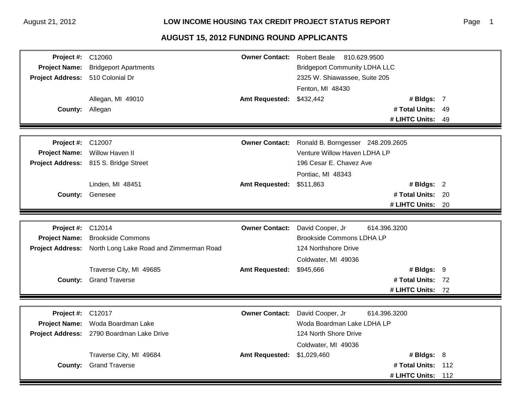| <b>Project #: C12060</b>         |                                                          | <b>Owner Contact:</b> | Robert Beale 810.629.9500            |     |
|----------------------------------|----------------------------------------------------------|-----------------------|--------------------------------------|-----|
| <b>Project Name:</b>             | <b>Bridgeport Apartments</b>                             |                       | <b>Bridgeport Community LDHA LLC</b> |     |
| Project Address: 510 Colonial Dr |                                                          |                       | 2325 W. Shiawassee, Suite 205        |     |
|                                  |                                                          |                       | Fenton, MI 48430                     |     |
|                                  | Allegan, MI 49010                                        | <b>Amt Requested:</b> | # Bldgs: 7<br>\$432,442              |     |
| County: Allegan                  |                                                          |                       | # Total Units: 49                    |     |
|                                  |                                                          |                       | # LIHTC Units:                       | 49  |
|                                  |                                                          |                       |                                      |     |
| Project #:                       | C12007                                                   | <b>Owner Contact:</b> | Ronald B. Borngesser 248.209.2605    |     |
|                                  | Project Name: Willow Haven II                            |                       | Venture Willow Haven LDHA LP         |     |
|                                  | Project Address: 815 S. Bridge Street                    |                       | 196 Cesar E. Chavez Ave              |     |
|                                  |                                                          |                       | Pontiac, MI 48343                    |     |
|                                  | Linden, MI 48451                                         | <b>Amt Requested:</b> | \$511,863<br># Bldgs: 2              |     |
|                                  | <b>County: Genesee</b>                                   |                       | # Total Units: 20                    |     |
|                                  |                                                          |                       | # LIHTC Units: 20                    |     |
|                                  |                                                          |                       |                                      |     |
| Project #:                       | C12014                                                   | <b>Owner Contact:</b> | David Cooper, Jr<br>614.396.3200     |     |
| <b>Project Name:</b>             | <b>Brookside Commons</b>                                 |                       | <b>Brookside Commons LDHA LP</b>     |     |
|                                  | Project Address: North Long Lake Road and Zimmerman Road |                       | 124 Northshore Drive                 |     |
|                                  |                                                          |                       | Coldwater, MI 49036                  |     |
|                                  | Traverse City, MI 49685                                  | <b>Amt Requested:</b> | # Bldgs: 9<br>\$945,666              |     |
|                                  | <b>County:</b> Grand Traverse                            |                       | # Total Units: 72                    |     |
|                                  |                                                          |                       | # LIHTC Units: 72                    |     |
|                                  |                                                          |                       |                                      |     |
| <b>Project #: C12017</b>         |                                                          | <b>Owner Contact:</b> | David Cooper, Jr<br>614.396.3200     |     |
|                                  | Project Name: Woda Boardman Lake                         |                       | Woda Boardman Lake LDHA LP           |     |
|                                  | Project Address: 2790 Boardman Lake Drive                |                       | 124 North Shore Drive                |     |
|                                  |                                                          |                       | Coldwater, MI 49036                  |     |
|                                  | Traverse City, MI 49684                                  | <b>Amt Requested:</b> | \$1,029,460<br># Bldgs: $8$          |     |
|                                  | <b>County:</b> Grand Traverse                            |                       | # Total Units:                       | 112 |
|                                  |                                                          |                       | # LIHTC Units:                       | 112 |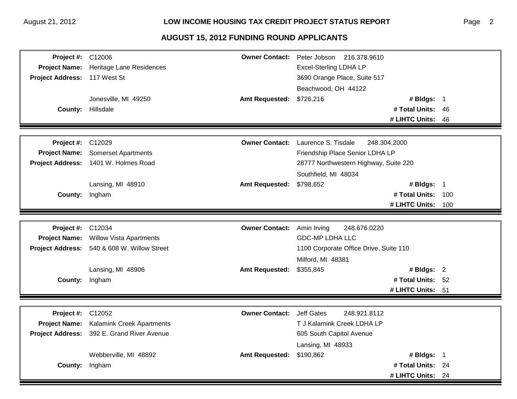| <b>Project #: C12006</b>     |                                              | <b>Owner Contact:</b>             | Peter Jobson 216.378.9610              |              |
|------------------------------|----------------------------------------------|-----------------------------------|----------------------------------------|--------------|
|                              | Project Name: Heritage Lane Residences       |                                   | <b>Excel-Sterling LDHA LP</b>          |              |
| Project Address: 117 West St |                                              |                                   | 3690 Orange Place, Suite 517           |              |
|                              |                                              |                                   | Beachwood, OH 44122                    |              |
|                              | Jonesville, MI 49250                         | Amt Requested: \$726,216          | # Bldgs: 1                             |              |
|                              | County: Hillsdale                            |                                   | # Total Units: 46                      |              |
|                              |                                              |                                   | # LIHTC Units: 46                      |              |
|                              |                                              |                                   |                                        |              |
| <b>Project #: C12029</b>     |                                              | <b>Owner Contact:</b>             | Laurence S. Tisdale<br>248.304.2000    |              |
|                              | <b>Project Name:</b> Somerset Apartments     |                                   | Friendship Place Senior LDHA LP        |              |
|                              | Project Address: 1401 W. Holmes Road         |                                   | 28777 Northwestern Highway, Suite 220  |              |
|                              |                                              |                                   | Southfield, MI 48034                   |              |
|                              | Lansing, MI 48910                            | <b>Amt Requested:</b>             | \$798,652<br># Bldgs: 1                |              |
| County: Ingham               |                                              |                                   | # Total Units: 100                     |              |
|                              |                                              |                                   | # LIHTC Units: 100                     |              |
|                              |                                              |                                   |                                        |              |
| <b>Project #: C12034</b>     |                                              | <b>Owner Contact:</b> Amin Irving | 248.676.0220                           |              |
|                              | <b>Project Name:</b> Willow Vista Apartments |                                   | <b>GDC-MP LDHA LLC</b>                 |              |
|                              | Project Address: 540 & 608 W. Willow Street  |                                   | 1100 Corporate Office Drive, Suite 110 |              |
|                              |                                              |                                   | Milford, MI 48381                      |              |
|                              | Lansing, MI 48906                            | <b>Amt Requested:</b>             | \$355,845                              | # Bldgs: $2$ |
| County: Ingham               |                                              |                                   | # Total Units: 52                      |              |
|                              |                                              |                                   | # LIHTC Units: 51                      |              |
|                              |                                              |                                   |                                        |              |
| <b>Project #: C12052</b>     |                                              | <b>Owner Contact:</b> Jeff Gates  | 248.921.8112                           |              |
|                              | Project Name: Kalamink Creek Apartments      |                                   | T J Kalamink Creek LDHA LP             |              |
|                              | Project Address: 392 E. Grand River Avenue   |                                   | 605 South Capitol Avenue               |              |
|                              |                                              |                                   | Lansing, MI 48933                      |              |
|                              | Webberville, MI 48892                        | <b>Amt Requested:</b>             | # Bldgs: 1<br>\$190,862                |              |
| County: Ingham               |                                              |                                   | # Total Units: 24                      |              |
|                              |                                              |                                   | # LIHTC Units: 24                      |              |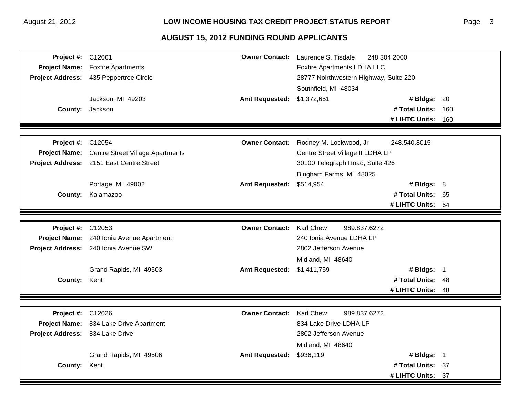| <b>Project #: C12061</b>        |                                                       | <b>Owner Contact:</b>           | Laurence S. Tisdale<br>248.304.2000    |                   |     |
|---------------------------------|-------------------------------------------------------|---------------------------------|----------------------------------------|-------------------|-----|
|                                 | <b>Project Name:</b> Foxfire Apartments               |                                 | <b>Foxfire Apartments LDHA LLC</b>     |                   |     |
|                                 | Project Address: 435 Peppertree Circle                |                                 | 28777 Nolrthwestern Highway, Suite 220 |                   |     |
|                                 |                                                       |                                 | Southfield, MI 48034                   |                   |     |
|                                 | Jackson, MI 49203                                     | <b>Amt Requested:</b>           | \$1,372,651                            | # Bldgs: 20       |     |
| County: Jackson                 |                                                       |                                 |                                        | # Total Units:    | 160 |
|                                 |                                                       |                                 |                                        | # LIHTC Units:    | 160 |
|                                 |                                                       |                                 |                                        |                   |     |
| <b>Project #: C12054</b>        |                                                       | <b>Owner Contact:</b>           | Rodney M. Lockwood, Jr                 | 248.540.8015      |     |
|                                 | <b>Project Name:</b> Centre Street Village Apartments |                                 | Centre Street Village II LDHA LP       |                   |     |
|                                 | Project Address: 2151 East Centre Street              |                                 | 30100 Telegraph Road, Suite 426        |                   |     |
|                                 |                                                       |                                 | Bingham Farms, MI 48025                |                   |     |
|                                 | Portage, MI 49002                                     | <b>Amt Requested:</b>           | \$514,954                              | # Bldgs: $8$      |     |
| <b>County:</b>                  | Kalamazoo                                             |                                 |                                        | # Total Units: 65 |     |
|                                 |                                                       |                                 |                                        | # LIHTC Units: 64 |     |
|                                 |                                                       |                                 |                                        |                   |     |
| <b>Project #: C12053</b>        |                                                       | <b>Owner Contact:</b> Karl Chew | 989.837.6272                           |                   |     |
|                                 | Project Name: 240 Ionia Avenue Apartment              |                                 | 240 Ionia Avenue LDHA LP               |                   |     |
|                                 | Project Address: 240 Ionia Avenue SW                  |                                 | 2802 Jefferson Avenue                  |                   |     |
|                                 |                                                       |                                 | Midland, MI 48640                      |                   |     |
|                                 | Grand Rapids, MI 49503                                | <b>Amt Requested:</b>           | \$1,411,759                            | # Bldgs: 1        |     |
| County: Kent                    |                                                       |                                 |                                        | # Total Units: 48 |     |
|                                 |                                                       |                                 |                                        | # LIHTC Units: 48 |     |
|                                 |                                                       |                                 |                                        |                   |     |
| <b>Project #: C12026</b>        |                                                       | <b>Owner Contact:</b>           | <b>Karl Chew</b><br>989.837.6272       |                   |     |
|                                 | Project Name: 834 Lake Drive Apartment                |                                 | 834 Lake Drive LDHA LP                 |                   |     |
| Project Address: 834 Lake Drive |                                                       |                                 | 2802 Jefferson Avenue                  |                   |     |
|                                 |                                                       |                                 | Midland, MI 48640                      |                   |     |
|                                 | Grand Rapids, MI 49506                                | <b>Amt Requested:</b>           | \$936,119                              | # Bldgs: 1        |     |
| County: Kent                    |                                                       |                                 |                                        | # Total Units: 37 |     |
|                                 |                                                       |                                 |                                        |                   |     |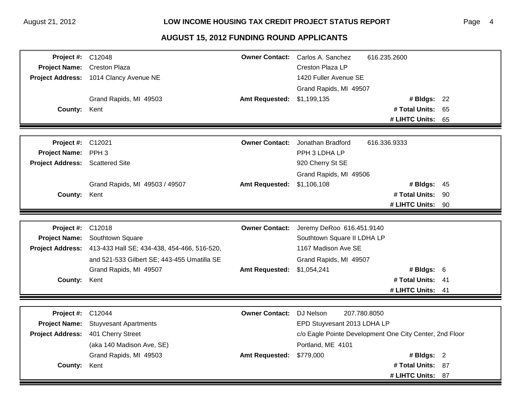| <b>Project #: C12048</b>        |                                                              | <b>Owner Contact:</b>      | Carlos A. Sanchez                                       | 616.235.2600      |  |
|---------------------------------|--------------------------------------------------------------|----------------------------|---------------------------------------------------------|-------------------|--|
| Project Name: Creston Plaza     |                                                              |                            | Creston Plaza LP                                        |                   |  |
|                                 | Project Address: 1014 Clancy Avenue NE                       |                            | 1420 Fuller Avenue SE                                   |                   |  |
|                                 |                                                              |                            | Grand Rapids, MI 49507                                  |                   |  |
|                                 | Grand Rapids, MI 49503                                       | <b>Amt Requested:</b>      | \$1,199,135                                             | # Bldgs: 22       |  |
| County: Kent                    |                                                              |                            |                                                         | # Total Units: 65 |  |
|                                 |                                                              |                            |                                                         | # LIHTC Units: 65 |  |
|                                 |                                                              |                            |                                                         |                   |  |
| <b>Project #: C12021</b>        |                                                              | <b>Owner Contact:</b>      | Jonathan Bradford                                       | 616.336.9333      |  |
| Project Name: PPH 3             |                                                              |                            | PPH 3 LDHA LP                                           |                   |  |
| Project Address: Scattered Site |                                                              |                            | 920 Cherry St SE                                        |                   |  |
|                                 |                                                              |                            | Grand Rapids, MI 49506                                  |                   |  |
|                                 | Grand Rapids, MI 49503 / 49507                               | Amt Requested: \$1,106,108 |                                                         | # Bldgs: 45       |  |
| County: Kent                    |                                                              |                            |                                                         | # Total Units: 90 |  |
|                                 |                                                              |                            |                                                         | # LIHTC Units: 90 |  |
|                                 |                                                              |                            |                                                         |                   |  |
| Project #:                      | C12018                                                       | <b>Owner Contact:</b>      | Jeremy DeRoo 616.451.9140                               |                   |  |
|                                 | Project Name: Southtown Square                               |                            | Southtown Square II LDHA LP                             |                   |  |
|                                 | Project Address: 413-433 Hall SE; 434-438, 454-466, 516-520, |                            | 1167 Madison Ave SE                                     |                   |  |
|                                 | and 521-533 Gilbert SE; 443-455 Umatilla SE                  |                            | Grand Rapids, MI 49507                                  |                   |  |
|                                 | Grand Rapids, MI 49507                                       | <b>Amt Requested:</b>      | \$1,054,241                                             | # Bldgs: 6        |  |
| County: Kent                    |                                                              |                            |                                                         | # Total Units: 41 |  |
|                                 |                                                              |                            |                                                         | # LIHTC Units: 41 |  |
|                                 |                                                              |                            |                                                         |                   |  |
| Project #:                      | C12044                                                       | <b>Owner Contact:</b>      | DJ Nelson<br>207.780.8050                               |                   |  |
| <b>Project Name:</b>            | <b>Stuyvesant Apartments</b>                                 |                            | EPD Stuyvesant 2013 LDHA LP                             |                   |  |
| <b>Project Address:</b>         | 401 Cherry Street                                            |                            | c/o Eagle Pointe Development One City Center, 2nd Floor |                   |  |
|                                 | (aka 140 Madison Ave, SE)                                    |                            | Portland, ME 4101                                       |                   |  |
|                                 | Grand Rapids, MI 49503                                       | <b>Amt Requested:</b>      | \$779,000                                               | # Bldgs: $2$      |  |
| <b>County:</b>                  | Kent                                                         |                            |                                                         | # Total Units: 87 |  |
|                                 |                                                              |                            |                                                         |                   |  |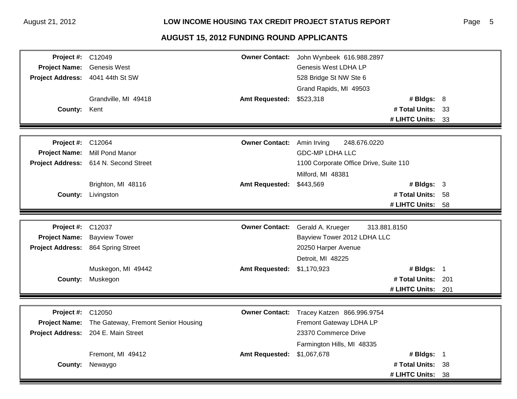| <b>Project #: C12049</b>         |                                                   | <b>Owner Contact:</b>      | John Wynbeek 616.988.2897                        |      |
|----------------------------------|---------------------------------------------------|----------------------------|--------------------------------------------------|------|
| Project Name: Genesis West       |                                                   |                            | <b>Genesis West LDHA LP</b>                      |      |
| Project Address: 4041 44th St SW |                                                   |                            | 528 Bridge St NW Ste 6                           |      |
|                                  |                                                   |                            | Grand Rapids, MI 49503                           |      |
|                                  | Grandville, MI 49418                              | <b>Amt Requested:</b>      | # Bldgs: 8<br>\$523,318                          |      |
| County: Kent                     |                                                   |                            | # Total Units: 33                                |      |
|                                  |                                                   |                            | # LIHTC Units:                                   | - 33 |
|                                  |                                                   |                            |                                                  |      |
| Project #:                       | C12064                                            | <b>Owner Contact:</b>      | Amin Irving<br>248.676.0220                      |      |
| <b>Project Name:</b>             | Mill Pond Manor                                   |                            | <b>GDC-MP LDHA LLC</b>                           |      |
|                                  | Project Address: 614 N. Second Street             |                            | 1100 Corporate Office Drive, Suite 110           |      |
|                                  |                                                   |                            | Milford, MI 48381                                |      |
|                                  | Brighton, MI 48116                                | <b>Amt Requested:</b>      | \$443,569<br># Bldgs: $3$                        |      |
| <b>County:</b>                   | Livingston                                        |                            | # Total Units: 58                                |      |
|                                  |                                                   |                            | # LIHTC Units: 58                                |      |
|                                  |                                                   |                            |                                                  |      |
| Project #:                       | C12037                                            |                            | Owner Contact: Gerald A. Krueger<br>313.881.8150 |      |
| <b>Project Name:</b>             | <b>Bayview Tower</b>                              |                            | Bayview Tower 2012 LDHA LLC                      |      |
| <b>Project Address:</b>          | 864 Spring Street                                 |                            | 20250 Harper Avenue                              |      |
|                                  |                                                   |                            | Detroit, MI 48225                                |      |
|                                  | Muskegon, MI 49442                                | Amt Requested: \$1,170,923 | # Bldgs: 1                                       |      |
| County:                          | Muskegon                                          |                            | # Total Units:                                   | 201  |
|                                  |                                                   |                            | # LIHTC Units:                                   | 201  |
|                                  |                                                   |                            |                                                  |      |
| <b>Project #: C12050</b>         |                                                   | <b>Owner Contact:</b>      | Tracey Katzen 866.996.9754                       |      |
|                                  | Project Name: The Gateway, Fremont Senior Housing |                            | Fremont Gateway LDHA LP                          |      |
|                                  | Project Address: 204 E. Main Street               |                            | 23370 Commerce Drive                             |      |
|                                  |                                                   |                            | Farmington Hills, MI 48335                       |      |
|                                  | Fremont, MI 49412                                 | <b>Amt Requested:</b>      | \$1,067,678<br># Bldgs: 1                        |      |
| <b>County:</b>                   | Newaygo                                           |                            | # Total Units: 38                                |      |
|                                  |                                                   |                            | # LIHTC Units:                                   | -38  |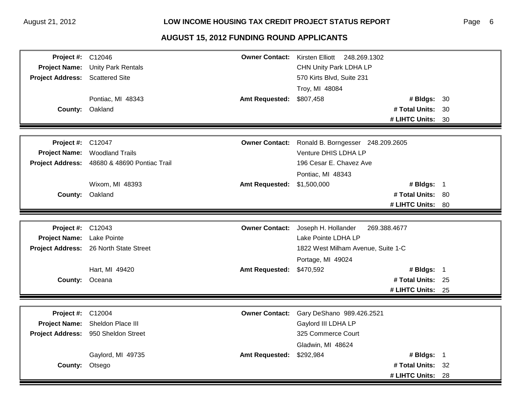| <b>Project #: C12046</b>               |                                              | <b>Owner Contact:</b> | Kirsten Elliott 248.269.1302                       |                   |  |
|----------------------------------------|----------------------------------------------|-----------------------|----------------------------------------------------|-------------------|--|
|                                        | <b>Project Name:</b> Unity Park Rentals      |                       | CHN Unity Park LDHA LP                             |                   |  |
| <b>Project Address:</b> Scattered Site |                                              |                       | 570 Kirts Blvd, Suite 231                          |                   |  |
|                                        |                                              |                       | Troy, MI 48084                                     |                   |  |
|                                        | Pontiac, MI 48343                            | <b>Amt Requested:</b> | \$807,458                                          | # Bldgs: 30       |  |
| County: Oakland                        |                                              |                       |                                                    | # Total Units: 30 |  |
|                                        |                                              |                       |                                                    | # LIHTC Units: 30 |  |
|                                        |                                              |                       |                                                    |                   |  |
| <b>Project #: C12047</b>               |                                              | <b>Owner Contact:</b> | Ronald B. Borngesser 248.209.2605                  |                   |  |
|                                        | Project Name: Woodland Trails                |                       | Venture DHIS LDHA LP                               |                   |  |
|                                        | Project Address: 48680 & 48690 Pontiac Trail |                       | 196 Cesar E. Chavez Ave                            |                   |  |
|                                        |                                              |                       | Pontiac, MI 48343                                  |                   |  |
|                                        | Wixom, MI 48393                              | <b>Amt Requested:</b> | \$1,500,000                                        | # Bldgs: 1        |  |
| <b>County:</b>                         | Oakland                                      |                       |                                                    | # Total Units: 80 |  |
|                                        |                                              |                       |                                                    | # LIHTC Units: 80 |  |
|                                        |                                              |                       |                                                    |                   |  |
| <b>Project #: C12043</b>               |                                              |                       | Owner Contact: Joseph H. Hollander<br>269.388.4677 |                   |  |
| <b>Project Name:</b>                   | <b>Lake Pointe</b>                           |                       | Lake Pointe LDHA LP                                |                   |  |
|                                        | Project Address: 26 North State Street       |                       | 1822 West Milham Avenue, Suite 1-C                 |                   |  |
|                                        |                                              |                       | Portage, MI 49024                                  |                   |  |
|                                        | Hart, MI 49420                               | <b>Amt Requested:</b> | \$470,592                                          | # Bldgs: 1        |  |
| County: Oceana                         |                                              |                       |                                                    | # Total Units: 25 |  |
|                                        |                                              |                       |                                                    | # LIHTC Units: 25 |  |
|                                        |                                              |                       |                                                    |                   |  |
| <b>Project #: C12004</b>               |                                              | <b>Owner Contact:</b> | Gary DeShano 989.426.2521                          |                   |  |
|                                        | Project Name: Sheldon Place III              |                       | Gaylord III LDHA LP                                |                   |  |
|                                        | Project Address: 950 Sheldon Street          |                       | 325 Commerce Court                                 |                   |  |
|                                        |                                              |                       | Gladwin, MI 48624                                  |                   |  |
|                                        | Gaylord, MI 49735                            | <b>Amt Requested:</b> | \$292,984                                          | # Bldgs: 1        |  |
| <b>County:</b>                         | Otsego                                       |                       |                                                    | # Total Units: 32 |  |
|                                        |                                              |                       |                                                    | # LIHTC Units: 28 |  |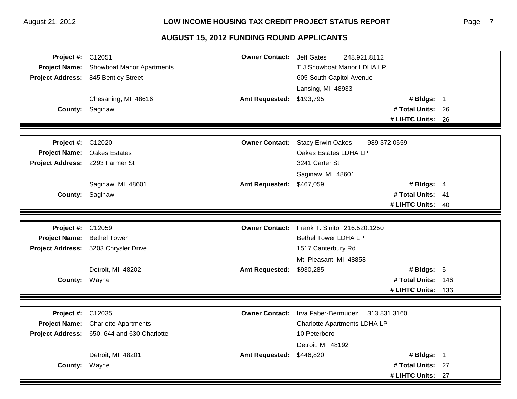| Project #: C12051               |                                     | <b>Owner Contact:</b> Jeff Gates | 248.921.8112                             |                    |     |
|---------------------------------|-------------------------------------|----------------------------------|------------------------------------------|--------------------|-----|
| <b>Project Name:</b>            | <b>Showboat Manor Apartments</b>    |                                  | T J Showboat Manor LDHA LP               |                    |     |
|                                 | Project Address: 845 Bentley Street |                                  | 605 South Capitol Avenue                 |                    |     |
|                                 |                                     |                                  | Lansing, MI 48933                        |                    |     |
|                                 | Chesaning, MI 48616                 | <b>Amt Requested:</b>            | \$193,795                                | # Bldgs: 1         |     |
| <b>County:</b>                  | Saginaw                             |                                  |                                          | # Total Units: 26  |     |
|                                 |                                     |                                  |                                          | # LIHTC Units: 26  |     |
|                                 |                                     |                                  |                                          |                    |     |
| Project #:                      | C12020                              | <b>Owner Contact:</b>            | <b>Stacy Erwin Oakes</b><br>989.372.0559 |                    |     |
| Project Name: Oakes Estates     |                                     |                                  | Oakes Estates LDHA LP                    |                    |     |
| Project Address: 2293 Farmer St |                                     |                                  | 3241 Carter St                           |                    |     |
|                                 |                                     |                                  | Saginaw, MI 48601                        |                    |     |
|                                 | Saginaw, MI 48601                   | <b>Amt Requested:</b>            | \$467,059                                | # Bldgs: 4         |     |
| <b>County:</b>                  | Saginaw                             |                                  |                                          | # Total Units: 41  |     |
|                                 |                                     |                                  |                                          | # LIHTC Units: 40  |     |
|                                 |                                     |                                  |                                          |                    |     |
| <b>Project #: C12059</b>        |                                     | <b>Owner Contact:</b>            | Frank T. Sinito 216.520.1250             |                    |     |
| <b>Project Name:</b>            | <b>Bethel Tower</b>                 |                                  | <b>Bethel Tower LDHA LP</b>              |                    |     |
| <b>Project Address:</b>         | 5203 Chrysler Drive                 |                                  | 1517 Canterbury Rd                       |                    |     |
|                                 |                                     |                                  | Mt. Pleasant, MI 48858                   |                    |     |
|                                 | Detroit, MI 48202                   | <b>Amt Requested:</b>            | \$930,285                                | # Bldgs: $5$       |     |
| County: Wayne                   |                                     |                                  |                                          | # Total Units: 146 |     |
|                                 |                                     |                                  |                                          | # LIHTC Units:     | 136 |
|                                 |                                     |                                  |                                          |                    |     |
| <b>Project #: C12035</b>        |                                     | <b>Owner Contact:</b>            | Irva Faber-Bermudez<br>313.831.3160      |                    |     |
| <b>Project Name:</b>            | <b>Charlotte Apartments</b>         |                                  | Charlotte Apartments LDHA LP             |                    |     |
| <b>Project Address:</b>         | 650, 644 and 630 Charlotte          |                                  | 10 Peterboro                             |                    |     |
|                                 |                                     |                                  | Detroit, MI 48192                        |                    |     |
|                                 | Detroit, MI 48201                   | <b>Amt Requested:</b>            | \$446,820                                | # Bldgs: 1         |     |
| <b>County:</b>                  | Wayne                               |                                  |                                          | # Total Units: 27  |     |
|                                 |                                     |                                  |                                          | # LIHTC Units: 27  |     |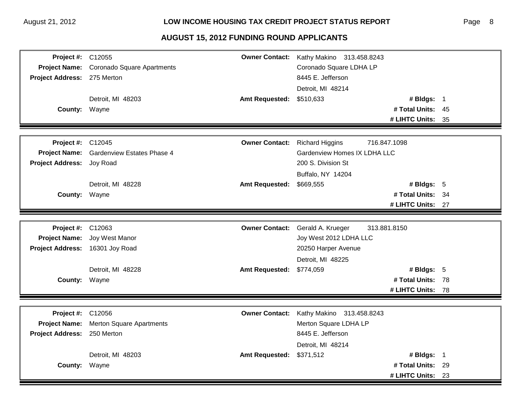| <b>Project #: C12055</b>        |                                          |                                       | Owner Contact: Kathy Makino 313.458.8243 |                   |  |
|---------------------------------|------------------------------------------|---------------------------------------|------------------------------------------|-------------------|--|
|                                 | Project Name: Coronado Square Apartments |                                       | Coronado Square LDHA LP                  |                   |  |
| Project Address: 275 Merton     |                                          |                                       | 8445 E. Jefferson                        |                   |  |
|                                 |                                          |                                       | Detroit, MI 48214                        |                   |  |
|                                 | Detroit, MI 48203                        | Amt Requested: \$510,633              |                                          | # Bldgs: 1        |  |
| County: Wayne                   |                                          |                                       |                                          | # Total Units: 45 |  |
|                                 |                                          |                                       |                                          | # LIHTC Units: 35 |  |
|                                 |                                          |                                       |                                          |                   |  |
| <b>Project #: C12045</b>        |                                          | <b>Owner Contact:</b> Richard Higgins |                                          | 716.847.1098      |  |
|                                 | Project Name: Gardenview Estates Phase 4 |                                       | Gardenview Homes IX LDHA LLC             |                   |  |
| Project Address: Joy Road       |                                          |                                       | 200 S. Division St                       |                   |  |
|                                 |                                          |                                       | Buffalo, NY 14204                        |                   |  |
|                                 | Detroit, MI 48228                        | <b>Amt Requested:</b>                 | \$669,555                                | # Bldgs: 5        |  |
| County: Wayne                   |                                          |                                       |                                          | # Total Units: 34 |  |
|                                 |                                          |                                       |                                          | # LIHTC Units: 27 |  |
|                                 |                                          |                                       |                                          |                   |  |
| Project #:                      | C12063                                   |                                       | Owner Contact: Gerald A. Krueger         | 313.881.8150      |  |
| <b>Project Name:</b>            | Joy West Manor                           |                                       | Joy West 2012 LDHA LLC                   |                   |  |
| Project Address: 16301 Joy Road |                                          |                                       | 20250 Harper Avenue                      |                   |  |
|                                 |                                          |                                       | Detroit, MI 48225                        |                   |  |
|                                 | Detroit, MI 48228                        | Amt Requested: \$774,059              |                                          | # Bldgs: 5        |  |
| County: Wayne                   |                                          |                                       |                                          | # Total Units: 78 |  |
|                                 |                                          |                                       |                                          | # LIHTC Units: 78 |  |
|                                 |                                          |                                       |                                          |                   |  |
| <b>Project #: C12056</b>        |                                          | <b>Owner Contact:</b>                 | Kathy Makino 313.458.8243                |                   |  |
| <b>Project Name:</b>            | <b>Merton Square Apartments</b>          |                                       | Merton Square LDHA LP                    |                   |  |
| Project Address: 250 Merton     |                                          |                                       | 8445 E. Jefferson                        |                   |  |
|                                 |                                          |                                       | Detroit, MI 48214                        |                   |  |
|                                 | Detroit, MI 48203                        | <b>Amt Requested:</b>                 | \$371,512                                | # Bldgs: $1$      |  |
| County: Wayne                   |                                          |                                       |                                          | # Total Units: 29 |  |
|                                 |                                          |                                       |                                          | # LIHTC Units: 23 |  |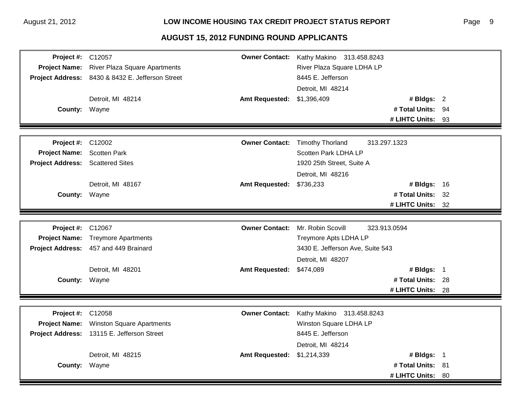| <b>Project #: C12057</b>                |                                                  | <b>Owner Contact:</b> | Kathy Makino 313.458.8243                              |                   |  |
|-----------------------------------------|--------------------------------------------------|-----------------------|--------------------------------------------------------|-------------------|--|
|                                         | Project Name: River Plaza Square Apartments      |                       | River Plaza Square LDHA LP                             |                   |  |
|                                         | Project Address: 8430 & 8432 E. Jefferson Street |                       | 8445 E. Jefferson                                      |                   |  |
|                                         |                                                  |                       | Detroit, MI 48214                                      |                   |  |
|                                         | Detroit, MI 48214                                | <b>Amt Requested:</b> | \$1,396,409                                            | # Bldgs: $2$      |  |
| County: Wayne                           |                                                  |                       |                                                        | # Total Units: 94 |  |
|                                         |                                                  |                       |                                                        | # LIHTC Units: 93 |  |
|                                         |                                                  |                       |                                                        |                   |  |
| <b>Project #: C12002</b>                |                                                  |                       | <b>Owner Contact:</b> Timothy Thorland<br>313.297.1323 |                   |  |
| Project Name: Scotten Park              |                                                  |                       | Scotten Park LDHA LP                                   |                   |  |
| <b>Project Address:</b> Scattered Sites |                                                  |                       | 1920 25th Street, Suite A                              |                   |  |
|                                         |                                                  |                       | Detroit, MI 48216                                      |                   |  |
|                                         | Detroit, MI 48167                                | <b>Amt Requested:</b> | \$736,233                                              | # Bldgs: 16       |  |
| County: Wayne                           |                                                  |                       |                                                        | # Total Units: 32 |  |
|                                         |                                                  |                       |                                                        | # LIHTC Units: 32 |  |
|                                         |                                                  |                       |                                                        |                   |  |
| <b>Project #: C12067</b>                |                                                  | <b>Owner Contact:</b> | Mr. Robin Scovill<br>323.913.0594                      |                   |  |
|                                         | Project Name: Treymore Apartments                |                       | Treymore Apts LDHA LP                                  |                   |  |
|                                         | Project Address: 457 and 449 Brainard            |                       | 3430 E. Jefferson Ave, Suite 543                       |                   |  |
|                                         |                                                  |                       | Detroit, MI 48207                                      |                   |  |
|                                         | Detroit, MI 48201                                | <b>Amt Requested:</b> | \$474,089                                              | # Bldgs: 1        |  |
| County: Wayne                           |                                                  |                       |                                                        | # Total Units: 28 |  |
|                                         |                                                  |                       |                                                        | # LIHTC Units: 28 |  |
|                                         |                                                  |                       |                                                        |                   |  |
| <b>Project #: C12058</b>                |                                                  | <b>Owner Contact:</b> | Kathy Makino 313.458.8243                              |                   |  |
|                                         | <b>Project Name:</b> Winston Square Apartments   |                       | Winston Square LDHA LP                                 |                   |  |
|                                         | Project Address: 13115 E. Jefferson Street       |                       | 8445 E. Jefferson                                      |                   |  |
|                                         |                                                  |                       | Detroit, MI 48214                                      |                   |  |
|                                         | Detroit, MI 48215                                | <b>Amt Requested:</b> | \$1,214,339                                            | # Bldgs: 1        |  |
| County: Wayne                           |                                                  |                       |                                                        | # Total Units: 81 |  |
|                                         |                                                  |                       |                                                        | # LIHTC Units: 80 |  |